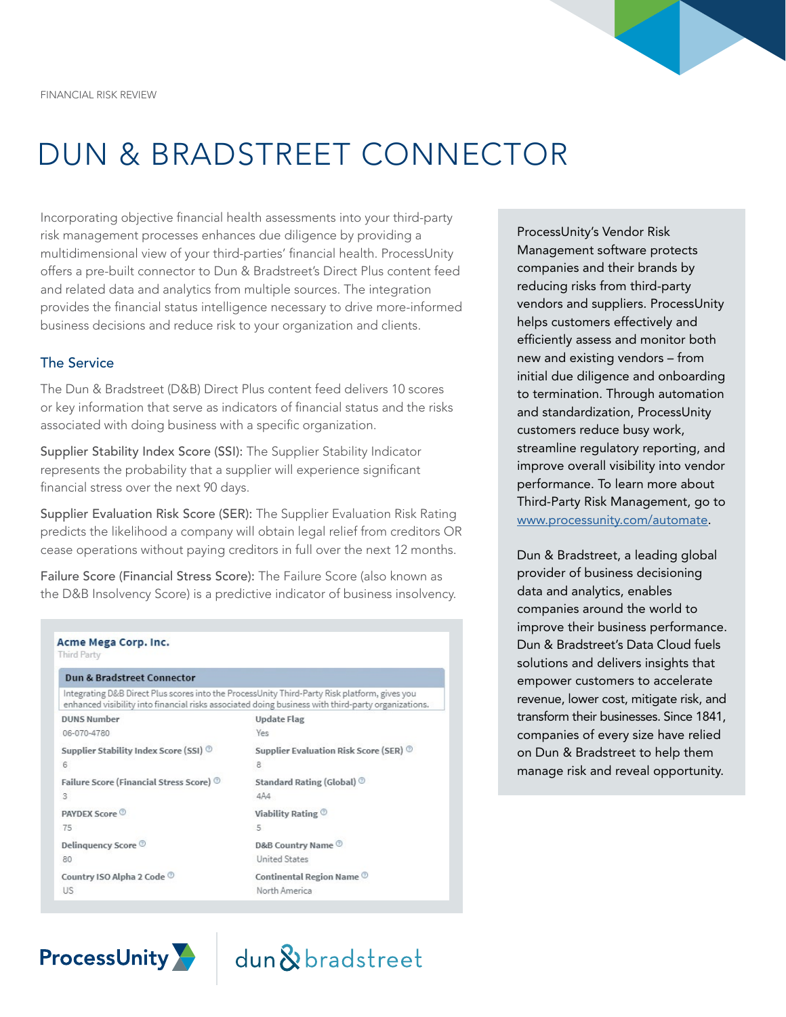

# DUN & BRADSTREET CONNECTOR

Incorporating objective financial health assessments into your third-party risk management processes enhances due diligence by providing a multidimensional view of your third-parties' financial health. ProcessUnity offers a pre-built connector to Dun & Bradstreet's Direct Plus content feed and related data and analytics from multiple sources. The integration provides the financial status intelligence necessary to drive more-informed business decisions and reduce risk to your organization and clients.

#### The Service

The Dun & Bradstreet (D&B) Direct Plus content feed delivers 10 scores or key information that serve as indicators of financial status and the risks associated with doing business with a specific organization.

Supplier Stability Index Score (SSI): The Supplier Stability Indicator represents the probability that a supplier will experience significant financial stress over the next 90 days.

Supplier Evaluation Risk Score (SER): The Supplier Evaluation Risk Rating predicts the likelihood a company will obtain legal relief from creditors OR cease operations without paying creditors in full over the next 12 months.

Failure Score (Financial Stress Score): The Failure Score (also known as the D&B Insolvency Score) is a predictive indicator of business insolvency.

| Dun & Bradstreet Connector<br>Integrating D&B Direct Plus scores into the ProcessUnity Third-Party Risk platform, gives you<br>enhanced visibility into financial risks associated doing business with third-party organizations. |                                      |
|-----------------------------------------------------------------------------------------------------------------------------------------------------------------------------------------------------------------------------------|--------------------------------------|
|                                                                                                                                                                                                                                   |                                      |
| 06-070-4780                                                                                                                                                                                                                       | Yes                                  |
| Supplier Stability Index Score (SSI)                                                                                                                                                                                              | Supplier Evaluation Risk Score (SER) |
| 6                                                                                                                                                                                                                                 | 8                                    |
| Failure Score (Financial Stress Score) ®                                                                                                                                                                                          | Standard Rating (Global)             |
| 3                                                                                                                                                                                                                                 | 4A4                                  |
| PAYDEX Score                                                                                                                                                                                                                      | Viability Rating ®                   |
| 75                                                                                                                                                                                                                                | 5                                    |
| Delinguency Score <sup>®</sup>                                                                                                                                                                                                    | D&B Country Name ®                   |
| 80                                                                                                                                                                                                                                | <b>United States</b>                 |
| Country ISO Alpha 2 Code                                                                                                                                                                                                          | Continental Region Name              |
| US                                                                                                                                                                                                                                | North America                        |

dun&bradstreet

**ProcessUnity** 

ProcessUnity's Vendor Risk Management software protects companies and their brands by reducing risks from third-party vendors and suppliers. ProcessUnity helps customers effectively and efficiently assess and monitor both new and existing vendors – from initial due diligence and onboarding to termination. Through automation and standardization, ProcessUnity customers reduce busy work, streamline regulatory reporting, and improve overall visibility into vendor performance. To learn more about Third-Party Risk Management, go to [www.processunity.com/automate.](http://www.processunity.com/automate)

Dun & Bradstreet, a leading global provider of business decisioning data and analytics, enables companies around the world to improve their business performance. Dun & Bradstreet's Data Cloud fuels solutions and delivers insights that empower customers to accelerate revenue, lower cost, mitigate risk, and transform their businesses. Since 1841, companies of every size have relied on Dun & Bradstreet to help them manage risk and reveal opportunity.